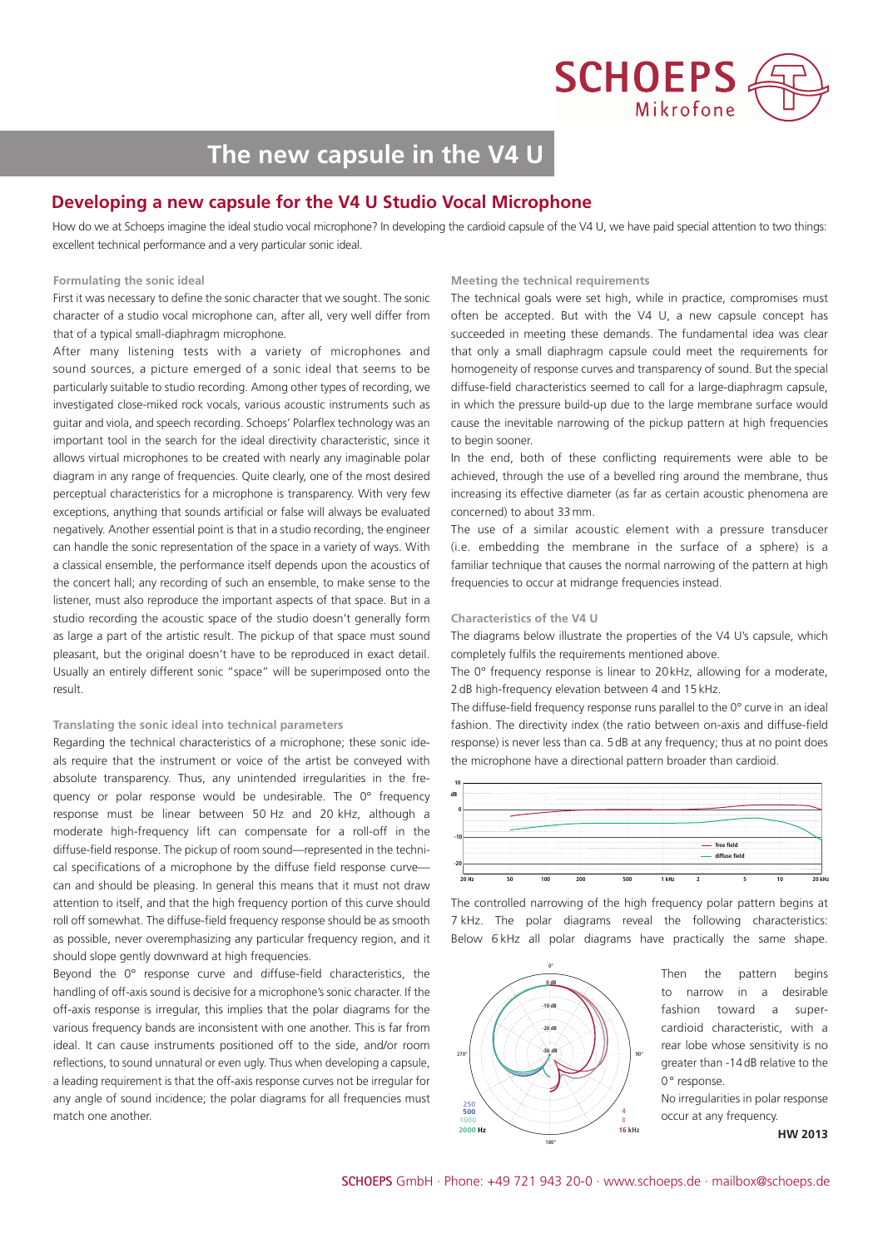

# **The new capsule in the V4 U**

## **Developing a new capsule for the V4 U Studio Vocal Microphone**

How do we at Schoeps imagine the ideal studio vocal microphone? In developing the cardioid capsule of the V4 U, we have paid special attention to two things: excellent technical performance and a very particular sonic ideal.

### **Formulating the sonic ideal**

First it was necessary to define the sonic character that we sought. The sonic character of a studio vocal microphone can, after all, very well differ from that of a typical small-diaphragm microphone.

After many listening tests with a variety of microphones and sound sources, a picture emerged of a sonic ideal that seems to be particularly suitable to studio recording. Among other types of recording, we investigated close-miked rock vocals, various acoustic instruments such as guitar and viola, and speech recording. Schoeps' Polarflex technology was an important tool in the search for the ideal directivity characteristic, since it allows virtual microphones to be created with nearly any imaginable polar diagram in any range of frequencies. Quite clearly, one of the most desired perceptual characteristics for a microphone is transparency. With very few exceptions, anything that sounds artificial or false will always be evaluated negatively. Another essential point is that in a studio recording, the engineer can handle the sonic representation of the space in a variety of ways. With a classical ensemble, the performance itself depends upon the acoustics of the concert hall; any recording of such an ensemble, to make sense to the listener, must also reproduce the important aspects of that space. But in a studio recording the acoustic space of the studio doesn't generally form as large a part of the artistic result. The pickup of that space must sound pleasant, but the original doesn't have to be reproduced in exact detail. Usually an entirely different sonic "space" will be superimposed onto the result.

### **Translating the sonic ideal into technical parameters**

Regarding the technical characteristics of a microphone; these sonic ideals require that the instrument or voice of the artist be conveved with absolute transparency. Thus, any unintended irregularities in the frequency or polar response would be undesirable. The 0° frequency response must be linear between 50 Hz and 20 kHz, although a moderate high-frequency lift can compensate for a roll-off in the diffuse-field response. The pickup of room sound—represented in the technical specifications of a microphone by the diffuse field response curve can and should be pleasing. In general this means that it must not draw attention to itself, and that the high frequency portion of this curve should roll off somewhat. The diffuse-field frequency response should be as smooth as possible, never overemphasizing any particular frequency region, and it should slope gently downward at high frequencies.

Beyond the 0° response curve and diffuse-field characteristics, the handling of off-axis sound is decisive for a microphone's sonic character. If the off-axis response is irregular, this implies that the polar diagrams for the various frequency bands are inconsistent with one another. This is far from ideal. It can cause instruments positioned off to the side, and/or room reflections, to sound unnatural or even ugly. Thus when developing a capsule, a leading requirement is that the off-axis response curves not be irregular for any angle of sound incidence; the polar diagrams for all frequencies must match one another.

### **Meeting the technical requirements**

The technical goals were set high, while in practice, compromises must often be accepted. But with the V4 U, a new capsule concept has succeeded in meeting these demands. The fundamental idea was clear that only a small diaphragm capsule could meet the requirements for homogeneity of response curves and transparency of sound. But the special diffuse-field characteristics seemed to call for a large-diaphragm capsule, in which the pressure build-up due to the large membrane surface would cause the inevitable narrowing of the pickup pattern at high frequencies to begin sooner.

In the end, both of these conflicting requirements were able to be achieved, through the use of a bevelled ring around the membrane, thus increasing its effective diameter (as far as certain acoustic phenomena are concerned) to about 33 mm.

The use of a similar acoustic element with a pressure transducer (i.e. embedding the membrane in the surface of a sphere) is a familiar technique that causes the normal narrowing of the pattern at high frequencies to occur at midrange frequencies instead.

### **Characteristics of the V4 U**

The diagrams below illustrate the properties of the V4 U's capsule, which completely fulfils the requirements mentioned above.

The 0° frequency response is linear to 20kHz, allowing for a moderate, 2dB high-frequency elevation between 4 and 15kHz.

The diffuse-field frequency response runs parallel to the 0° curve in an ideal fashion. The directivity index (the ratio between on-axis and diffuse-field response) is never less than ca. 5dB at any frequency; thus at no point does the microphone have a directional pattern broader than cardioid.



The controlled narrowing of the high frequency polar pattern begins at 7 kHz. The polar diagrams reveal the following characteristics: Below 6 kHz all polar diagrams have practically the same shape.



Then the pattern begins to narrow in a desirable fashion toward a supercardioid characteristic, with a rear lobe whose sensitivity is no greater than -14dB relative to the 0° response.

No irregularities in polar response occur at any frequency.

**HW 2013**